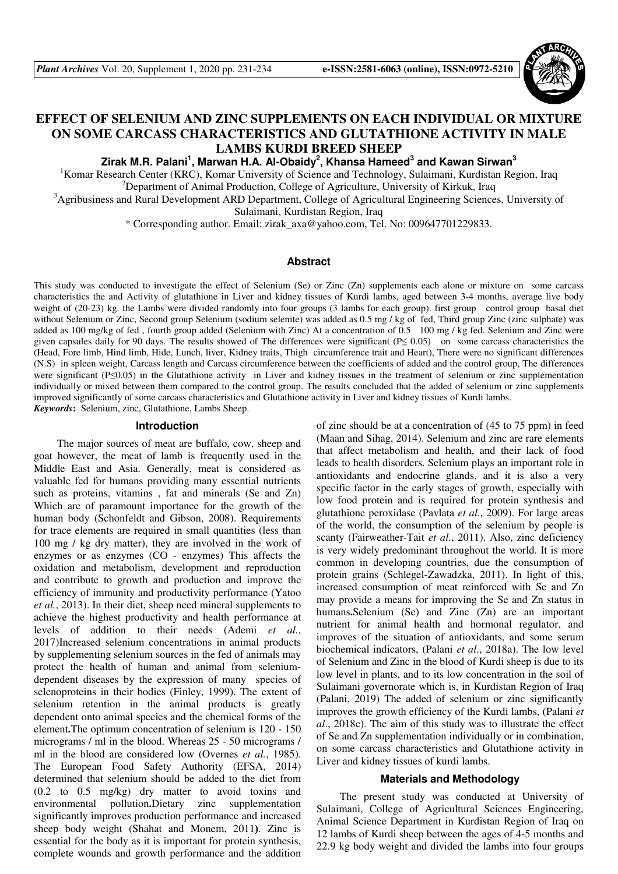

# **EFFECT OF SELENIUM AND ZINC SUPPLEMENTS ON EACH INDIVIDUAL OR MIXTURE ON SOME CARCASS CHARACTERISTICS AND GLUTATHIONE ACTIVITY IN MALE LAMBS KURDI BREED SHEEP**

**Zirak M.R. Palani<sup>1</sup> , Marwan H.A. Al-Obaidy<sup>2</sup> , Khansa Hameed<sup>3</sup> and Kawan Sirwan<sup>3</sup>**

<sup>1</sup>Komar Research Center (KRC), Komar University of Science and Technology, Sulaimani, Kurdistan Region, Iraq <sup>2</sup>Department of Animal Production, College of Agriculture, University of Kirkuk, Iraq

<sup>3</sup>Agribusiness and Rural Development ARD Department, College of Agricultural Engineering Sciences, University of

Sulaimani, Kurdistan Region, Iraq

\* Corresponding author. Email: zirak\_axa@yahoo.com, Tel. No: 009647701229833.

#### **Abstract**

This study was conducted to investigate the effect of Selenium (Se) or Zinc (Zn) supplements each alone or mixture on some carcass characteristics the and Activity of glutathione in Liver and kidney tissues of Kurdi lambs, aged between 3-4 months, average live body weight of (20-23) kg. the Lambs were divided randomly into four groups (3 lambs for each group). first group control group basal diet without Selenium or Zinc, Second group Selenium (sodium selenite) was added as 0.5 mg / kg of fed, Third group Zinc (zinc sulphate) was added as 100 mg/kg of fed , fourth group added (Selenium with Zinc) At a concentration of 0.5 100 mg / kg fed. Selenium and Zinc were given capsules daily for 90 days. The results showed of The differences were significant (P≤ 0.05) on some carcass characteristics the (Head, Fore limb, Hind limb, Hide, Lunch, liver, Kidney traits, Thigh circumference trait and Heart), There were no significant differences (N.S) in spleen weight, Carcass length and Carcass circumference between the coefficients of added and the control group, The differences were significant (P≤0.05) in the Glutathione activity in Liver and kidney tissues in the treatment of selenium or zinc supplementation individually or mixed between them compared to the control group. The results concluded that the added of selenium or zinc supplements improved significantly of some carcass characteristics and Glutathione activity in Liver and kidney tissues of Kurdi lambs. *Keywords***:** Selenium, zinc, Glutathione, Lambs Sheep.

#### **Introduction**

The major sources of meat are buffalo, cow, sheep and goat however, the meat of lamb is frequently used in the Middle East and Asia. Generally, meat is considered as valuable fed for humans providing many essential nutrients such as proteins, vitamins , fat and minerals (Se and Zn) Which are of paramount importance for the growth of the human body (Schonfeldt and Gibson, 2008). Requirements for trace elements are required in small quantities (less than 100 mg / kg dry matter), they are involved in the work of enzymes or as enzymes (CO - enzymes) This affects the oxidation and metabolism, development and reproduction and contribute to growth and production and improve the efficiency of immunity and productivity performance (Yatoo *et al.*, 2013). In their diet, sheep need mineral supplements to achieve the highest productivity and health performance at levels of addition to their needs (Ademi *et al.*, 2017)Increased selenium concentrations in animal products by supplementing selenium sources in the fed of animals may protect the health of human and animal from seleniumdependent diseases by the expression of many species of selenoproteins in their bodies (Finley, 1999). The extent of selenium retention in the animal products is greatly dependent onto animal species and the chemical forms of the element.The optimum concentration of selenium is 120 - 150 micrograms / ml in the blood. Whereas 25 - 50 micrograms / ml in the blood are considered low (Overnes *et al.*, 1985). The European Food Safety Authority (EFSA, 2014) determined that selenium should be added to the diet from (0.2 to 0.5 mg/kg) dry matter to avoid toxins and environmental pollution.Dietary zinc supplementation significantly improves production performance and increased sheep body weight (Shahat and Monem, 2011). Zinc is essential for the body as it is important for protein synthesis, complete wounds and growth performance and the addition

of zinc should be at a concentration of (45 to 75 ppm) in feed (Maan and Sihag, 2014). Selenium and zinc are rare elements that affect metabolism and health, and their lack of food leads to health disorders. Selenium plays an important role in antioxidants and endocrine glands, and it is also a very specific factor in the early stages of growth, especially with low food protein and is required for protein synthesis and glutathione peroxidase (Pavlata *et al.*, 2009). For large areas of the world, the consumption of the selenium by people is scanty (Fairweather-Tait *et al.*, 2011). Also, zinc deficiency is very widely predominant throughout the world. It is more common in developing countries, due the consumption of protein grains (Schlegel-Zawadzka, 2011). In light of this, increased consumption of meat reinforced with Se and Zn may provide a means for improving the Se and Zn status in humans.Selenium (Se) and Zinc (Zn) are an important nutrient for animal health and hormonal regulator, and improves of the situation of antioxidants, and some serum biochemical indicators, (Palani *et al*., 2018a). The low level of Selenium and Zinc in the blood of Kurdi sheep is due to its low level in plants, and to its low concentration in the soil of Sulaimani governorate which is, in Kurdistan Region of Iraq (Palani, 2019) The added of selenium or zinc significantly improves the growth efficiency of the Kurdi lambs, (Palani *et al*., 2018c). The aim of this study was to illustrate the effect of Se and Zn supplementation individually or in combination, on some carcass characteristics and Glutathione activity in Liver and kidney tissues of kurdi lambs.

### **Materials and Methodology**

The present study was conducted at University of Sulaimani, College of Agricultural Sciences Engineering, Animal Science Department in Kurdistan Region of Iraq on 12 lambs of Kurdi sheep between the ages of 4-5 months and 22.9 kg body weight and divided the lambs into four groups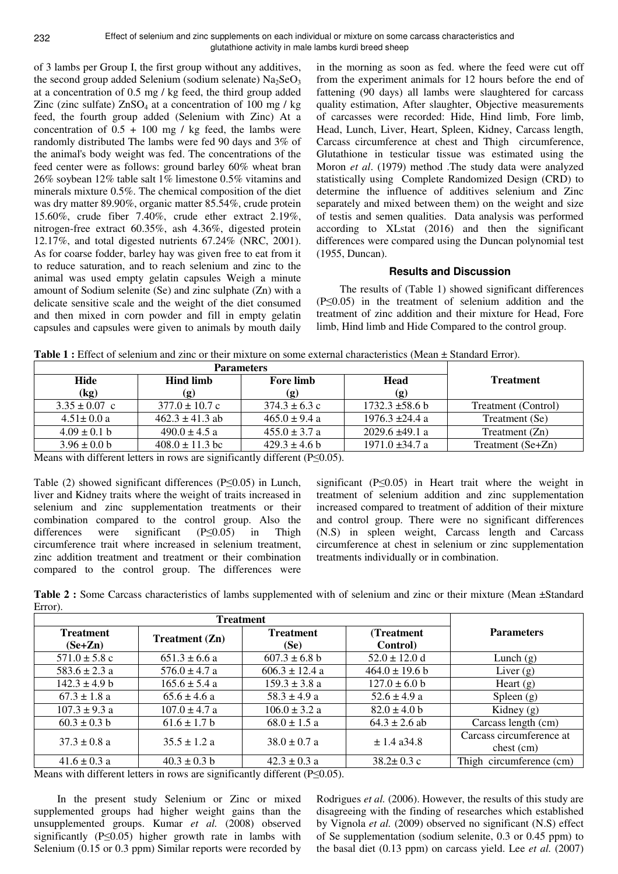of 3 lambs per Group I, the first group without any additives, the second group added Selenium (sodium selenate)  $Na<sub>2</sub>SeO<sub>3</sub>$ at a concentration of 0.5 mg / kg feed, the third group added Zinc (zinc sulfate)  $ZnSO<sub>4</sub>$  at a concentration of 100 mg / kg feed, the fourth group added (Selenium with Zinc) At a concentration of  $0.5 + 100$  mg / kg feed, the lambs were randomly distributed The lambs were fed 90 days and 3% of the animal's body weight was fed. The concentrations of the feed center were as follows: ground barley 60% wheat bran 26% soybean 12% table salt 1% limestone 0.5% vitamins and minerals mixture 0.5%. The chemical composition of the diet was dry matter 89.90%, organic matter 85.54%, crude protein 15.60%, crude fiber 7.40%, crude ether extract 2.19%, nitrogen-free extract 60.35%, ash 4.36%, digested protein 12.17%, and total digested nutrients 67.24% (NRC, 2001). As for coarse fodder, barley hay was given free to eat from it to reduce saturation, and to reach selenium and zinc to the animal was used empty gelatin capsules Weigh a minute amount of Sodium selenite (Se) and zinc sulphate (Zn) with a delicate sensitive scale and the weight of the diet consumed and then mixed in corn powder and fill in empty gelatin capsules and capsules were given to animals by mouth daily

in the morning as soon as fed. where the feed were cut off from the experiment animals for 12 hours before the end of fattening (90 days) all lambs were slaughtered for carcass quality estimation, After slaughter, Objective measurements of carcasses were recorded: Hide, Hind limb, Fore limb, Head, Lunch, Liver, Heart, Spleen, Kidney, Carcass length, Carcass circumference at chest and Thigh circumference, Glutathione in testicular tissue was estimated using the Moron *et al*. (1979) method .The study data were analyzed statistically using Complete Randomized Design (CRD) to determine the influence of additives selenium and Zinc separately and mixed between them) on the weight and size of testis and semen qualities. Data analysis was performed according to XLstat (2016) and then the significant differences were compared using the Duncan polynomial test (1955, Duncan).

## **Results and Discussion**

The results of (Table 1) showed significant differences (P≤0.05) in the treatment of selenium addition and the treatment of zinc addition and their mixture for Head, Fore limb, Hind limb and Hide Compared to the control group.

| <b>Table 1:</b> Effect of selement and zinc or their mixture on some external characteristics (Mean $\pm$ Standard Effor). |                     |                   |                     |                     |  |  |
|----------------------------------------------------------------------------------------------------------------------------|---------------------|-------------------|---------------------|---------------------|--|--|
|                                                                                                                            |                     |                   |                     |                     |  |  |
| Hide                                                                                                                       | <b>Hind limb</b>    | <b>Fore limb</b>  | <b>Head</b>         | <b>Treatment</b>    |  |  |
| (kg)                                                                                                                       | (g)                 | (g)               | (g)                 |                     |  |  |
| $3.35 \pm 0.07$ c                                                                                                          | $377.0 \pm 10.7$ c  | $374.3 \pm 6.3$ c | $1732.3 \pm 58.6 b$ | Treatment (Control) |  |  |
| $4.51 \pm 0.0 a$                                                                                                           | $462.3 \pm 41.3$ ab | $465.0 \pm 9.4 a$ | $1976.3 \pm 24.4 a$ | Treatment (Se)      |  |  |
| $4.09 \pm 0.1$ b                                                                                                           | $490.0 \pm 4.5$ a   | $455.0 \pm 3.7 a$ | $2029.6 \pm 49.1$ a | Treatment (Zn)      |  |  |

 $3.96 \pm 0.0$  b  $408.0 \pm 11.3$  bc  $429.3 \pm 4.6$  b  $1971.0 \pm 34.7$  a Treatment (Se+Zn)

**Table 1 :** Effect of selenium and zinc or their mixture on some external characteristics (Mean ± Standard Error).

Means with different letters in rows are significantly different (P≤0.05).

Table (2) showed significant differences (P≤0.05) in Lunch, liver and Kidney traits where the weight of traits increased in selenium and zinc supplementation treatments or their combination compared to the control group. Also the differences were significant (P≤0.05) in Thigh circumference trait where increased in selenium treatment, zinc addition treatment and treatment or their combination compared to the control group. The differences were

significant ( $P \leq 0.05$ ) in Heart trait where the weight in treatment of selenium addition and zinc supplementation increased compared to treatment of addition of their mixture and control group. There were no significant differences (N.S) in spleen weight, Carcass length and Carcass circumference at chest in selenium or zinc supplementation treatments individually or in combination.

**Table 2 :** Some Carcass characteristics of lambs supplemented with of selenium and zinc or their mixture (Mean ±Standard Error).

| <b>Treatment</b><br>$(Se+Zn)$ | <b>Treatment</b> $(Zn)$ | <b>Treatment</b><br>(Se) | (Treatment)<br>Control) | <b>Parameters</b>                      |
|-------------------------------|-------------------------|--------------------------|-------------------------|----------------------------------------|
| $571.0 \pm 5.8$ c             | $651.3 \pm 6.6$ a       | $607.3 \pm 6.8$ b        | $52.0 \pm 12.0$ d       | Lunch $(g)$                            |
| $583.6 \pm 2.3$ a             | $576.0 \pm 4.7$ a       | $606.3 \pm 12.4$ a       | $464.0 \pm 19.6 b$      | Liver $(g)$                            |
| $142.3 \pm 4.9 b$             | $165.6 \pm 5.4$ a       | $159.3 \pm 3.8$ a        | $127.0 \pm 6.0 b$       | Heart $(g)$                            |
| $67.3 \pm 1.8$ a              | $65.6 \pm 4.6$ a        | $58.3 \pm 4.9 a$         | $52.6 \pm 4.9 a$        | Spleen $(g)$                           |
| $107.3 \pm 9.3$ a             | $107.0 \pm 4.7$ a       | $106.0 \pm 3.2 a$        | $82.0 \pm 4.0 b$        | Kidney $(g)$                           |
| $60.3 \pm 0.3$ b              | $61.6 \pm 1.7$ b        | $68.0 \pm 1.5 a$         | $64.3 \pm 2.6$ ab       | Carcass length (cm)                    |
| $37.3 \pm 0.8$ a              | $35.5 \pm 1.2$ a        | $38.0 \pm 0.7 a$         | $\pm$ 1.4 a34.8         | Carcass circumference at<br>chest (cm) |
| $41.6 \pm 0.3$ a              | $40.3 \pm 0.3$ b        | $42.3 \pm 0.3$ a         | $38.2 \pm 0.3$ c        | Thigh circumference (cm)               |

Means with different letters in rows are significantly different (P≤0.05).

In the present study Selenium or Zinc or mixed supplemented groups had higher weight gains than the unsupplemented groups. Kumar *et al.* (2008) observed significantly (P≤0.05) higher growth rate in lambs with Selenium (0.15 or 0.3 ppm) Similar reports were recorded by Rodrigues *et al.* (2006). However, the results of this study are disagreeing with the finding of researches which established by Vignola *et al.* (2009) observed no significant (N.S) effect of Se supplementation (sodium selenite, 0.3 or 0.45 ppm) to the basal diet (0.13 ppm) on carcass yield. Lee *et al.* (2007)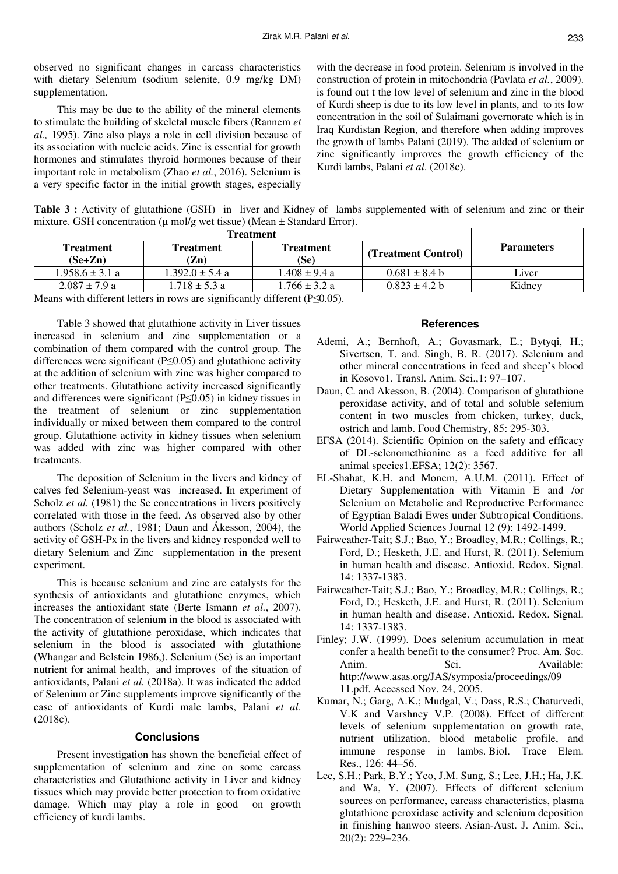observed no significant changes in carcass characteristics with dietary Selenium (sodium selenite, 0.9 mg/kg DM) supplementation.

This may be due to the ability of the mineral elements to stimulate the building of skeletal muscle fibers (Rannem *et al.,* 1995). Zinc also plays a role in cell division because of its association with nucleic acids. Zinc is essential for growth hormones and stimulates thyroid hormones because of their important role in metabolism (Zhao *et al.*, 2016). Selenium is a very specific factor in the initial growth stages, especially with the decrease in food protein. Selenium is involved in the construction of protein in mitochondria (Pavlata *et al.*, 2009). is found out t the low level of selenium and zinc in the blood of Kurdi sheep is due to its low level in plants, and to its low concentration in the soil of Sulaimani governorate which is in Iraq Kurdistan Region, and therefore when adding improves the growth of lambs Palani (2019). The added of selenium or zinc significantly improves the growth efficiency of the Kurdi lambs, Palani *et al*. (2018c).

**Table 3 :** Activity of glutathione (GSH) in liver and Kidney of lambs supplemented with of selenium and zinc or their mixture. GSH concentration ( $\mu$  mol/g wet tissue) (Mean  $\pm$  Standard Error).

| <b>Treatment</b><br>$(Se+Zn)$                                                                                                                        | <b>Treatment</b><br>Treatment<br>Zn) |                   | (Treatment Control) | <b>Parameters</b> |  |
|------------------------------------------------------------------------------------------------------------------------------------------------------|--------------------------------------|-------------------|---------------------|-------------------|--|
| $1.958.6 \pm 3.1 \text{ a}$                                                                                                                          | $1.392.0 \pm 5.4$ a                  | $1.408 \pm 9.4$ a | $0.681 \pm 8.4$ b   | Liver             |  |
| $2.087 \pm 7.9$ a                                                                                                                                    | $1.718 \pm 5.3 a$                    | $1.766 \pm 3.2 a$ | $0.823 \pm 4.2$ b   | Kidney            |  |
| $\mathbf{M}$ and $\mathbf{M}$ and $\mathbf{M}$ and $\mathbf{M}$ and $\mathbf{M}$ and $\mathbf{M}$ and $\mathbf{M}$ and $\mathbf{M}$ and $\mathbf{M}$ |                                      |                   |                     |                   |  |

Means with different letters in rows are significantly different (P≤0.05).

Table 3 showed that glutathione activity in Liver tissues increased in selenium and zinc supplementation or a combination of them compared with the control group. The differences were significant (P≤0.05) and glutathione activity at the addition of selenium with zinc was higher compared to other treatments. Glutathione activity increased significantly and differences were significant (P≤0.05) in kidney tissues in the treatment of selenium or zinc supplementation individually or mixed between them compared to the control group. Glutathione activity in kidney tissues when selenium was added with zinc was higher compared with other treatments.

The deposition of Selenium in the livers and kidney of calves fed Selenium-yeast was increased. In experiment of Scholz *et al.* (1981) the Se concentrations in livers positively correlated with those in the feed. As observed also by other authors (Scholz *et al.*, 1981; Daun and Åkesson, 2004), the activity of GSH-Px in the livers and kidney responded well to dietary Selenium and Zinc supplementation in the present experiment.

This is because selenium and zinc are catalysts for the synthesis of antioxidants and glutathione enzymes, which increases the antioxidant state (Berte Ismann *et al.*, 2007). The concentration of selenium in the blood is associated with the activity of glutathione peroxidase, which indicates that selenium in the blood is associated with glutathione (Whangar and Belstein 1986,). Selenium (Se) is an important nutrient for animal health, and improves of the situation of antioxidants, Palani *et al.* (2018a). It was indicated the added of Selenium or Zinc supplements improve significantly of the case of antioxidants of Kurdi male lambs, Palani *et al*. (2018c).

## **Conclusions**

Present investigation has shown the beneficial effect of supplementation of selenium and zinc on some carcass characteristics and Glutathione activity in Liver and kidney tissues which may provide better protection to from oxidative damage. Which may play a role in good on growth efficiency of kurdi lambs.

# **References**

- Ademi, A.; Bernhoft, A.; Govasmark, E.; Bytyqi, H.; Sivertsen, T. and. Singh, B. R. (2017). Selenium and other mineral concentrations in feed and sheep's blood in Kosovo1. Transl. Anim. Sci.,1: 97–107.
- Daun, C. and Akesson, B. (2004). Comparison of glutathione peroxidase activity, and of total and soluble selenium content in two muscles from chicken, turkey, duck, ostrich and lamb. Food Chemistry, 85: 295-303.
- EFSA (2014). Scientific Opinion on the safety and efficacy of DL-selenomethionine as a feed additive for all animal species1.EFSA; 12(2): 3567.
- EL-Shahat, K.H. and Monem, A.U.M. (2011). Effect of Dietary Supplementation with Vitamin E and /or Selenium on Metabolic and Reproductive Performance of Egyptian Baladi Ewes under Subtropical Conditions. World Applied Sciences Journal 12 (9): 1492-1499.
- Fairweather-Tait; S.J.; Bao, Y.; Broadley, M.R.; Collings, R.; Ford, D.; Hesketh, J.E. and Hurst, R. (2011). Selenium in human health and disease. Antioxid. Redox. Signal. 14: 1337-1383.
- Fairweather-Tait; S.J.; Bao, Y.; Broadley, M.R.; Collings, R.; Ford, D.; Hesketh, J.E. and Hurst, R. (2011). Selenium in human health and disease. Antioxid. Redox. Signal. 14: 1337-1383.
- Finley; J.W. (1999). Does selenium accumulation in meat confer a health benefit to the consumer? Proc. Am. Soc. Anim. Sci. Available: http://www.asas.org/JAS/symposia/proceedings/09 11.pdf. Accessed Nov. 24, 2005.
- Kumar, N.; Garg, A.K.; Mudgal, V.; Dass, R.S.; Chaturvedi, V.K and Varshney V.P. (2008). Effect of different levels of selenium supplementation on growth rate, nutrient utilization, blood metabolic profile, and immune response in lambs. Biol. Trace Elem. Res., 126: 44–56.
- Lee, S.H.; Park, B.Y.; Yeo, J.M. Sung, S.; Lee, J.H.; Ha, J.K. and Wa, Y. (2007). Effects of different selenium sources on performance, carcass characteristics, plasma glutathione peroxidase activity and selenium deposition in finishing hanwoo steers. Asian-Aust. J. Anim. Sci., 20(2): 229–236.